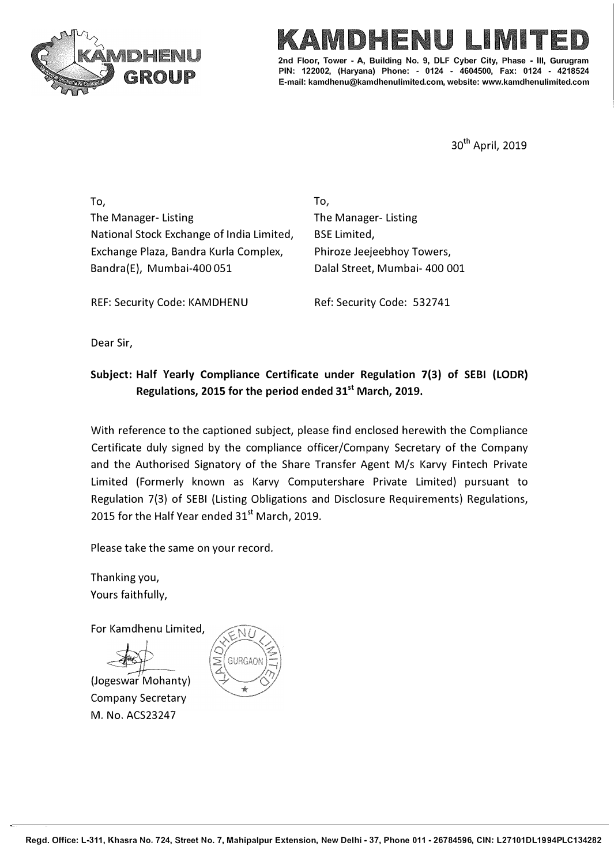



**2nd Floor, Tower - A. Building No. 9, DLF Cyber City, PIN: 122002, (Haryana) Phone: - 0124 - 4604500, Fax: 0124 - 4218524 E-mail: kamdhenu@kamdhenulimited.com, website: www.kamdhenulimited.com**

30<sup>th</sup> April, 2019

To, The Manager- Listing National Stock Exchange of India Limited, Exchange Plaza, Bandra Kurla Complex, Bandra(E), Mumbai-400 051

**To,**  The Manager- Listing BSE Limited, Phiroze Jeejeebhoy Towers, Dalal Street, Mumbai- 400 001

REF: Security Code: KAMDHENU

Ref: Security Code: 532741

Dear Sir,

## **Subject: Half Yearly Compliance Certificate under Regulation 7(3) of SEBI (LODR} Regulations, 2015 for the period ended 31st March, 2019.**

With reference to the captioned subject, please find enclosed herewith the Compliance Certificate duly signed by the compliance officer/Company Secretary of the Company and the Authorised Signatory of the Share Transfer Agent M/s Karvy Fintech Private Limited (Formerly known as Karvy Computershare Private Limited) pursuant to Regulation 7(3) of SEBI (Listing Obligations and Disclosure Requirements) Regulations, 2015 for the Half Year ended 31<sup>st</sup> March, 2019.

Please take the same on your record.

Thanking you, Yours faithfully,

For Kamdhenu Limited,

(Jogeswar Mohanty) Company Secretary M. No. ACS23247